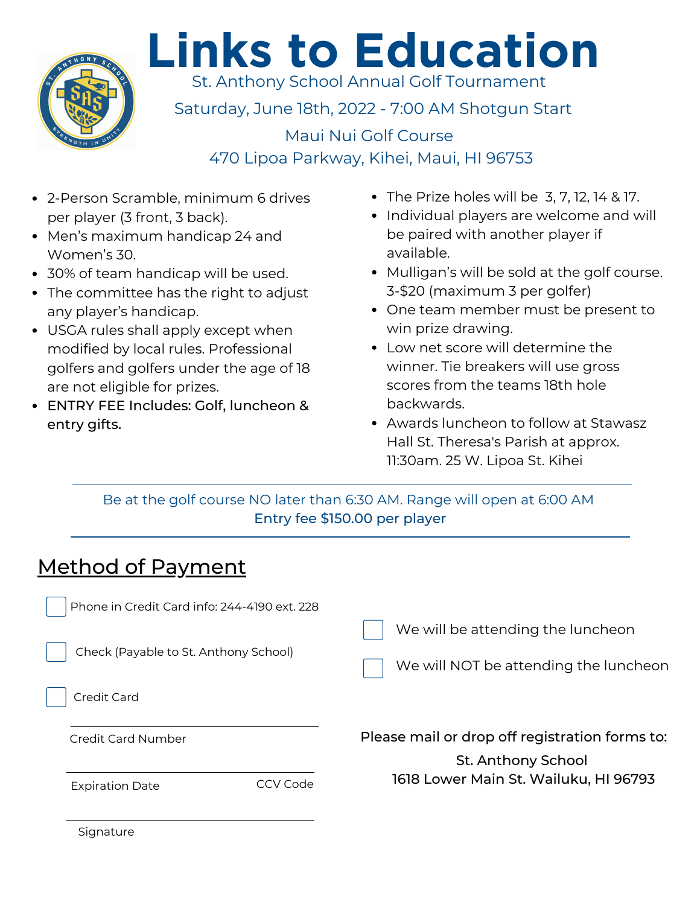

## **Links to Education**

St. Anthony School Annual Golf Tournament

Saturday, June 18th, 2022 - 7:00 AM Shotgun Start

Maui Nui Golf Course 470 Lipoa Parkway, Kihei, Maui, HI 96753

- 2-Person Scramble, minimum 6 drives per player (3 front, 3 back).
- Men's maximum handicap 24 and Women's 30.
- 30% of team handicap will be used.
- The committee has the right to adjust any player's handicap.
- USGA rules shall apply except when modified by local rules. Professional golfers and golfers under the age of 18 are not eligible for prizes.
- ENTRY FEE Includes: Golf, luncheon & entry gifts.
- $\bullet$  The Prize holes will be 3, 7, 12, 14 & 17.
- Individual players are welcome and will be paired with another player if available.
- Mulligan's will be sold at the golf course. 3-\$20 (maximum 3 per golfer)
- One team member must be present to win prize drawing.
- Low net score will determine the winner. Tie breakers will use gross scores from the teams 18th hole backwards.
- Awards luncheon to follow at Stawasz Hall St. Theresa's Parish at approx. 11:30am. 25 W. Lipoa St. Kihei

Be at the golf course NO later than 6:30 AM. Range will open at 6:00 AM Entry fee \$150.00 per player

| Method of Payment                                                                     |                                                                            |
|---------------------------------------------------------------------------------------|----------------------------------------------------------------------------|
| Phone in Credit Card info: 244-4190 ext. 228<br>Check (Payable to St. Anthony School) | We will be attending the luncheon<br>We will NOT be attending the luncheon |
| Credit Card                                                                           |                                                                            |
| Credit Card Number                                                                    | Please mail or drop off registration forms to:<br>St. Anthony School       |
| CCV Code<br><b>Expiration Date</b>                                                    | 1618 Lower Main St. Wailuku, HI 96793                                      |

**Signature**